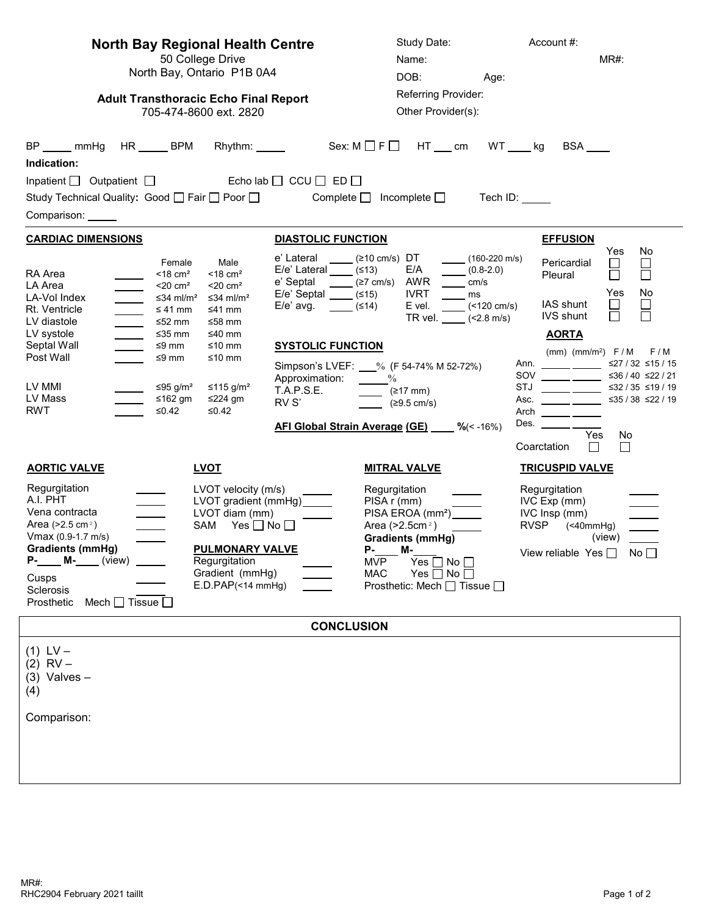| <b>North Bay Regional Health Centre</b><br>50 College Drive<br>North Bay, Ontario P1B 0A4<br><b>Adult Transthoracic Echo Final Report</b><br>705-474-8600 ext. 2820                                                                                                                                                                                                                                                                                                                                                                                                                                                | Study Date:<br>Name:<br>DOB:<br>Age:<br>Referring Provider:<br>Other Provider(s):                                                                                                                                                                                                                                                                                                                                                                                                                                                                                                 | Account #:<br>MR#:                                                                                                                                                                                                                                                                                                                                                                                                                                                                                                                                                                                                                                                                                                                          |
|--------------------------------------------------------------------------------------------------------------------------------------------------------------------------------------------------------------------------------------------------------------------------------------------------------------------------------------------------------------------------------------------------------------------------------------------------------------------------------------------------------------------------------------------------------------------------------------------------------------------|-----------------------------------------------------------------------------------------------------------------------------------------------------------------------------------------------------------------------------------------------------------------------------------------------------------------------------------------------------------------------------------------------------------------------------------------------------------------------------------------------------------------------------------------------------------------------------------|---------------------------------------------------------------------------------------------------------------------------------------------------------------------------------------------------------------------------------------------------------------------------------------------------------------------------------------------------------------------------------------------------------------------------------------------------------------------------------------------------------------------------------------------------------------------------------------------------------------------------------------------------------------------------------------------------------------------------------------------|
| $Sex: M \square F \square H T \_\_cm$<br>$HR$ BPM<br>$WT$ <sub>_____</sub> kg<br>BP mmHg<br>Rhythm: ______<br>Indication:<br>Inpatient $\Box$ Outpatient $\Box$ Echo lab $\Box$ CCU $\Box$ ED $\Box$<br>Study Technical Quality: Good □ Fair □ Poor □<br>Complete $\Box$ Incomplete $\Box$<br>Tech ID:<br>Comparison: ______                                                                                                                                                                                                                                                                                       |                                                                                                                                                                                                                                                                                                                                                                                                                                                                                                                                                                                   |                                                                                                                                                                                                                                                                                                                                                                                                                                                                                                                                                                                                                                                                                                                                             |
| <b>CARDIAC DIMENSIONS</b><br>Male<br>Female<br>RA Area<br>$<$ 18 cm <sup>2</sup><br>$<$ 18 cm <sup>2</sup><br>LA Area<br>$<$ 20 cm <sup>2</sup><br>$<$ 20 cm <sup>2</sup><br>LA-Vol Index<br>≤34 ml/m <sup>2</sup><br>≤34 ml/m <sup>2</sup><br>$\overline{\phantom{a}}$<br>Rt. Ventricle<br>≤ 41 mm<br>≤41 mm<br>LV diastole<br>$\overline{\phantom{0}}$<br>≤58 mm<br>≤52 mm<br>LV systole<br>$≤35$ mm<br>≤40 mm<br>Septal Wall<br>≤9 mm<br>≤10 mm<br>Post Wall<br>≤9 mm<br>≤10 mm<br>LV MMI<br>≤95 g/m <sup>2</sup><br>≤115 g/m <sup>2</sup><br>LV Mass<br>≤162 gm<br>≤224 gm<br><b>RWT</b><br>$≤0.42$<br>$≤0.42$ | <b>DIASTOLIC FUNCTION</b><br>e' Lateral<br>$\sqrt{210 \text{ cm/s}}$ DT<br>(160-220 m/s)<br>$E/e'$ Lateral $(513)$<br>E/A<br>$(0.8-2.0)$<br>AWR<br>e' Septal _____<br>(≥7 cm/s)<br>cm/s<br>$E/e'$ Septal $\qquad$ (≤15)<br><b>IVRT</b><br>ms<br>$\frac{\ }{}$ (<120 cm/s)<br>$E/e'$ avg. $(≤14)$<br>E vel.<br>TR vel. $\_\_\_\$ (<2.8 m/s)<br><b>SYSTOLIC FUNCTION</b><br>Simpson's LVEF: 1% (F 54-74% M 52-72%)<br>Approximation: _____%<br><b>T.A.P.S.E.</b><br>$\frac{217 \text{ mm}}{217 \text{ mm}}$<br>RV S'<br>(≥9.5 cm/s)<br>AFI Global Strain Average (GE) ____ %(<-16%) | <b>EFFUSION</b><br>Yes<br>No<br>Pericardial<br>$\Box$<br>Pleural<br>No<br>Yes<br>IAS shunt<br><b>IVS shunt</b><br><b>AORTA</b><br>(mm) (mm/m <sup>2</sup> ) $F/M$<br>F/M<br>≤27 / 32 ≤15 / 15<br>Ann. _______ _____<br>≤36 / 40 ≤22 / 21<br>STJ $\frac{1}{\sqrt{1-\frac{1}{2}} \cdot \frac{1}{\sqrt{1-\frac{1}{2}} \cdot \frac{1}{2}} \cdot \frac{1}{\sqrt{1-\frac{1}{2}} \cdot \frac{1}{2}}$<br>≤32 / 35 ≤19 / 19<br>Asc. $\frac{1}{\sqrt{1-\frac{1}{2}} \cdot \frac{1}{\sqrt{1-\frac{1}{2}} \cdot \frac{1}{2}} \cdot \frac{1}{\sqrt{1-\frac{1}{2}} \cdot \frac{1}{2}}$<br>≤35 / 38 ≤22 / 19<br>Arch $\frac{1}{\sqrt{1-\frac{1}{2}} \cdot \frac{1}{\sqrt{1-\frac{1}{2}} \cdot \frac{1}{2}}$<br>Des.<br>Yes<br>No.<br>□<br>□<br>Coarctation |
| <b>AORTIC VALVE</b><br><b>LVOT</b><br>Regurgitation<br>LVOT velocity (m/s)<br>A.I. PHT<br>LVOT gradient (mmHg)_<br>Vena contracta<br>LVOT diam (mm)<br>Area ( $>2.5$ cm <sup>2</sup> )<br>$\overline{\phantom{a}}$<br>SAM Yes □ No □<br>$Vmax (0.9-1.7 m/s)$<br><b>Gradients (mmHg)</b><br><b>PULMONARY VALVE</b><br>$P$ - $M$ - (view)<br>Regurgitation<br>Gradient (mmHg)<br>Cusps<br>E.D.PAP(<14 mmHg)<br>Sclerosis<br>Prosthetic<br>Mech $\Box$ Tissue $\Box$                                                                                                                                                  | <u>MITRAL VALVE</u><br>Regurgitation<br>PISA r (mm)<br>PISA EROA (mm <sup>2</sup> ) ______<br>Area ( $>2.5$ cm <sup>2</sup> )<br><b>Gradients (mmHg)</b><br>P-____ M-____<br>MVP<br>Yes $\square$ No $\square$<br><b>MAC</b><br>Yes $\Box$ No $\Box$<br>Prosthetic: Mech □ Tissue □                                                                                                                                                                                                                                                                                               | <b>TRICUSPID VALVE</b><br>Regurgitation<br>IVC Exp (mm)<br>IVC Insp (mm)<br>RVSP (<40mmHg)<br>(view)<br>View reliable Yes $\Box$ No $\Box$                                                                                                                                                                                                                                                                                                                                                                                                                                                                                                                                                                                                  |
| <b>CONCLUSION</b>                                                                                                                                                                                                                                                                                                                                                                                                                                                                                                                                                                                                  |                                                                                                                                                                                                                                                                                                                                                                                                                                                                                                                                                                                   |                                                                                                                                                                                                                                                                                                                                                                                                                                                                                                                                                                                                                                                                                                                                             |
| $(1)$ LV –<br>$(2)$ RV –<br>$(3)$ Valves -<br>(4)<br>Comparison:                                                                                                                                                                                                                                                                                                                                                                                                                                                                                                                                                   |                                                                                                                                                                                                                                                                                                                                                                                                                                                                                                                                                                                   |                                                                                                                                                                                                                                                                                                                                                                                                                                                                                                                                                                                                                                                                                                                                             |